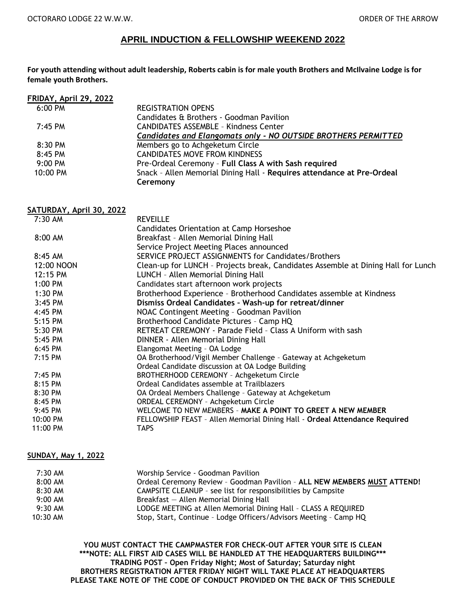## **APRIL INDUCTION & FELLOWSHIP WEEKEND 2022**

**For youth attending without adult leadership, Roberts cabin is for male youth Brothers and McIlvaine Lodge is for female youth Brothers.**

| FRIDAY, April 29, 2022 |                                                                        |
|------------------------|------------------------------------------------------------------------|
| 6:00 PM                | <b>REGISTRATION OPENS</b>                                              |
|                        | Candidates & Brothers - Goodman Pavilion                               |
| $7:45$ PM              | <b>CANDIDATES ASSEMBLE - Kindness Center</b>                           |
|                        | <b>Candidates and Elangomats only - NO OUTSIDE BROTHERS PERMITTED</b>  |
| 8:30 PM                | Members go to Achgeketum Circle                                        |
| 8:45 PM                | <b>CANDIDATES MOVE FROM KINDNESS</b>                                   |
| $9:00$ PM              | Pre-Ordeal Ceremony - Full Class A with Sash required                  |
| 10:00 PM               | Snack - Allen Memorial Dining Hall - Requires attendance at Pre-Ordeal |
|                        | Ceremony                                                               |

**SATURDAY, April 30, 2022**

| $7:30$ AM  | <b>REVEILLE</b>                                                                   |
|------------|-----------------------------------------------------------------------------------|
|            | Candidates Orientation at Camp Horseshoe                                          |
| $8:00$ AM  | Breakfast - Allen Memorial Dining Hall                                            |
|            | Service Project Meeting Places announced                                          |
| 8:45 AM    | SERVICE PROJECT ASSIGNMENTS for Candidates/Brothers                               |
| 12:00 NOON | Clean-up for LUNCH - Projects break, Candidates Assemble at Dining Hall for Lunch |
| 12:15 PM   | LUNCH - Allen Memorial Dining Hall                                                |
| 1:00 PM    | Candidates start afternoon work projects                                          |
| 1:30 PM    | Brotherhood Experience - Brotherhood Candidates assemble at Kindness              |
| $3:45$ PM  | Dismiss Ordeal Candidates - Wash-up for retreat/dinner                            |
| 4:45 PM    | NOAC Contingent Meeting - Goodman Pavilion                                        |
| 5:15 PM    | Brotherhood Candidate Pictures - Camp HQ                                          |
| 5:30 PM    | RETREAT CEREMONY - Parade Field - Class A Uniform with sash                       |
| 5:45 PM    | DINNER - Allen Memorial Dining Hall                                               |
| 6:45 PM    | Elangomat Meeting - OA Lodge                                                      |
| 7:15 PM    | OA Brotherhood/Vigil Member Challenge - Gateway at Achgeketum                     |
|            | Ordeal Candidate discussion at OA Lodge Building                                  |
| 7:45 PM    | BROTHERHOOD CEREMONY - Achgeketum Circle                                          |
| 8:15 PM    | Ordeal Candidates assemble at Trailblazers                                        |
| 8:30 PM    | OA Ordeal Members Challenge - Gateway at Achgeketum                               |
| 8:45 PM    | ORDEAL CEREMONY - Achgeketum Circle                                               |
| 9:45 PM    | WELCOME TO NEW MEMBERS - MAKE A POINT TO GREET A NEW MEMBER                       |
| 10:00 PM   | FELLOWSHIP FEAST - Allen Memorial Dining Hall - Ordeal Attendance Required        |
| 11:00 PM   | <b>TAPS</b>                                                                       |

## **SUNDAY, May 1, 2022**

| $7:30$ AM           | Worship Service - Goodman Pavilion                                       |
|---------------------|--------------------------------------------------------------------------|
| 8:00 AM             | Ordeal Ceremony Review - Goodman Pavilion - ALL NEW MEMBERS MUST ATTEND! |
| $8:30$ AM           | CAMPSITE CLEANUP - see list for responsibilities by Campsite             |
| $9:00 \, \text{AM}$ | Breakfast – Allen Memorial Dining Hall                                   |
| $9:30$ AM           | LODGE MEETING at Allen Memorial Dining Hall - CLASS A REQUIRED           |
| $10:30$ AM          | Stop, Start, Continue - Lodge Officers/Advisors Meeting - Camp HQ        |

**YOU MUST CONTACT THE CAMPMASTER FOR CHECK–OUT AFTER YOUR SITE IS CLEAN \*\*\*NOTE: ALL FIRST AID CASES WILL BE HANDLED AT THE HEADQUARTERS BUILDING\*\*\* TRADING POST – Open Friday Night; Most of Saturday; Saturday night BROTHERS REGISTRATION AFTER FRIDAY NIGHT WILL TAKE PLACE AT HEADQUARTERS PLEASE TAKE NOTE OF THE CODE OF CONDUCT PROVIDED ON THE BACK OF THIS SCHEDULE**